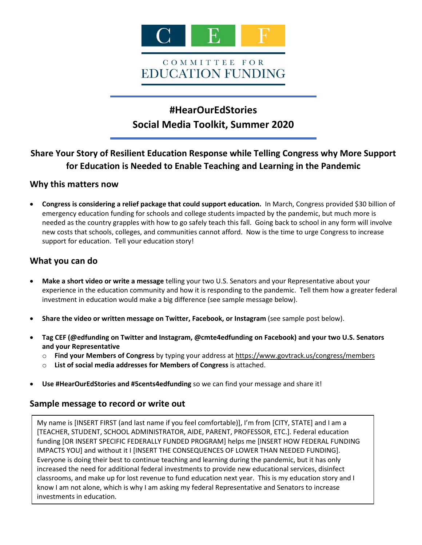

# **#HearOurEdStories Social Media Toolkit, Summer 2020**

## **Share Your Story of Resilient Education Response while Telling Congress why More Support for Education is Needed to Enable Teaching and Learning in the Pandemic**

## **Why this matters now**

• **Congress is considering a relief package that could support education.** In March, Congress provided \$30 billion of emergency education funding for schools and college students impacted by the pandemic, but much more is needed as the country grapples with how to go safely teach this fall. Going back to school in any form will involve new costs that schools, colleges, and communities cannot afford. Now is the time to urge Congress to increase support for education. Tell your education story!

## **What you can do**

- **Make a short video or write a message** telling your two U.S. Senators and your Representative about your experience in the education community and how it is responding to the pandemic. Tell them how a greater federal investment in education would make a big difference (see sample message below).
- **Share the video or written message on Twitter, Facebook, or Instagram** (see sample post below).
- **Tag CEF (@edfunding on Twitter and Instagram, @cmte4edfunding on Facebook) and your two U.S. Senators and your Representative**
	- o **Find your Members of Congress** by typing your address a[t https://www.govtrack.us/congress/members](https://www.govtrack.us/congress/members)
	- o **List of social media addresses for Members of Congress** is attached.
- **Use #HearOurEdStories and #5cents4edfunding** so we can find your message and share it!

## **Sample message to record or write out**

My name is [INSERT FIRST (and last name if you feel comfortable)], I'm from [CITY, STATE] and I am a [TEACHER, STUDENT, SCHOOL ADMINISTRATOR, AIDE, PARENT, PROFESSOR, ETC.]. Federal education funding [OR INSERT SPECIFIC FEDERALLY FUNDED PROGRAM] helps me [INSERT HOW FEDERAL FUNDING IMPACTS YOU] and without it I [INSERT THE CONSEQUENCES OF LOWER THAN NEEDED FUNDING]. Everyone is doing their best to continue teaching and learning during the pandemic, but it has only increased the need for additional federal investments to provide new educational services, disinfect classrooms, and make up for lost revenue to fund education next year. This is my education story and I know I am not alone, which is why I am asking my federal Representative and Senators to increase investments in education.